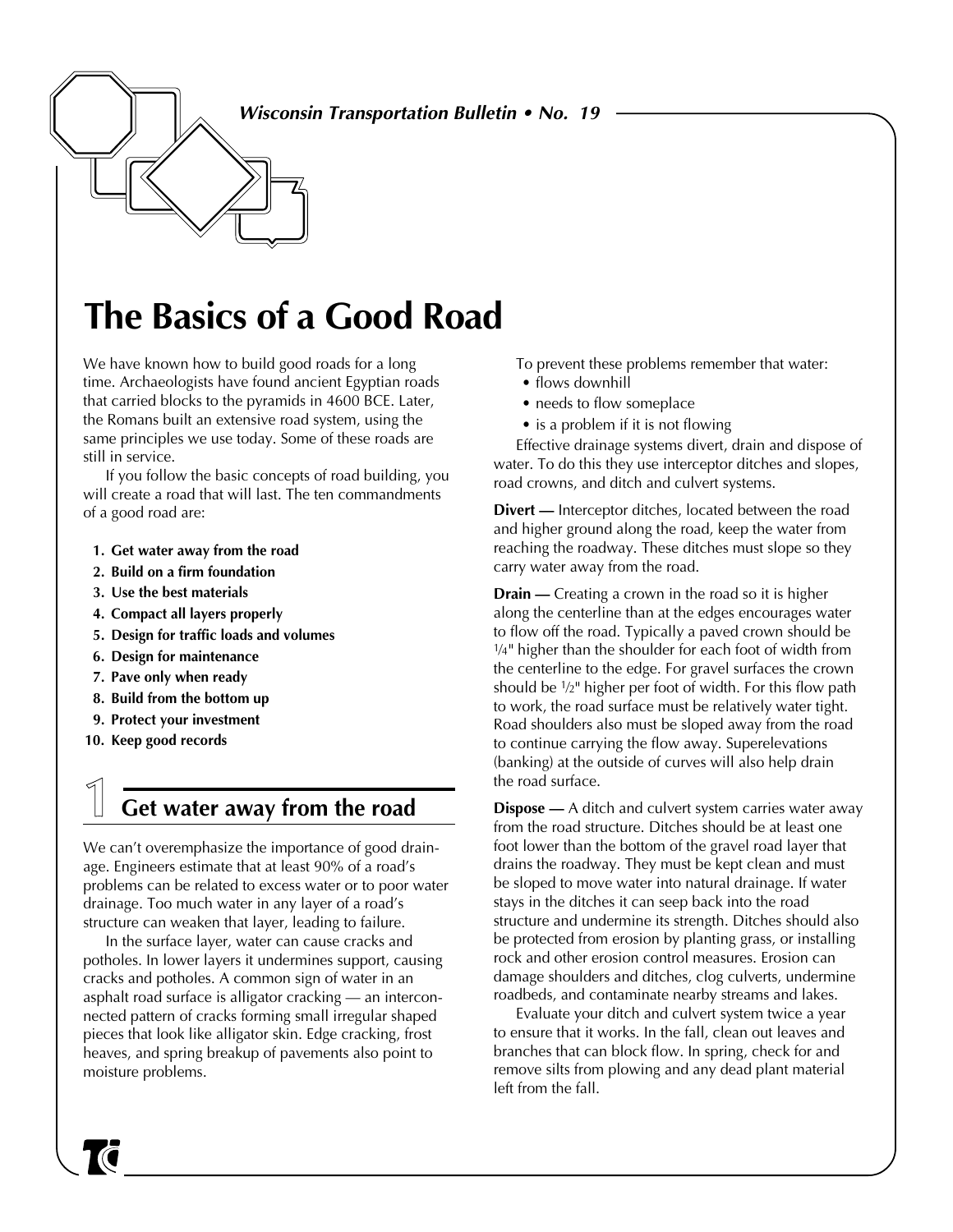**Wisconsin Transportation Bulletin • No. 19**

# **The Basics of a Good Road**

We have known how to build good roads for a long time. Archaeologists have found ancient Egyptian roads that carried blocks to the pyramids in 4600 BCE. Later, the Romans built an extensive road system, using the same principles we use today. Some of these roads are still in service.

If you follow the basic concepts of road building, you will create a road that will last. The ten commandments of a good road are:

- **1. Get water away from the road**
- **2. Build on a firm foundation**
- **3. Use the best materials**
- **4. Compact all layers properly**
- **5. Design for traffic loads and volumes**
- **6. Design for maintenance**
- **7. Pave only when ready**
- **8. Build from the bottom up**
- **9. Protect your investment**
- **10. Keep good records**

### **1 Get water away from the road**

We can't overemphasize the importance of good drainage. Engineers estimate that at least 90% of a road's problems can be related to excess water or to poor water drainage. Too much water in any layer of a road's structure can weaken that layer, leading to failure.

In the surface layer, water can cause cracks and potholes. In lower layers it undermines support, causing cracks and potholes. A common sign of water in an asphalt road surface is alligator cracking — an interconnected pattern of cracks forming small irregular shaped pieces that look like alligator skin. Edge cracking, frost heaves, and spring breakup of pavements also point to moisture problems.

To prevent these problems remember that water:

- flows downhill
- needs to flow someplace
- is a problem if it is not flowing

Effective drainage systems divert, drain and dispose of water. To do this they use interceptor ditches and slopes, road crowns, and ditch and culvert systems.

**Divert —** Interceptor ditches, located between the road and higher ground along the road, keep the water from reaching the roadway. These ditches must slope so they carry water away from the road.

**Drain —** Creating a crown in the road so it is higher along the centerline than at the edges encourages water to flow off the road. Typically a paved crown should be 1/4" higher than the shoulder for each foot of width from the centerline to the edge. For gravel surfaces the crown should be 1⁄2" higher per foot of width. For this flow path to work, the road surface must be relatively water tight. Road shoulders also must be sloped away from the road to continue carrying the flow away. Superelevations (banking) at the outside of curves will also help drain the road surface.

**Dispose —** A ditch and culvert system carries water away from the road structure. Ditches should be at least one foot lower than the bottom of the gravel road layer that drains the roadway. They must be kept clean and must be sloped to move water into natural drainage. If water stays in the ditches it can seep back into the road structure and undermine its strength. Ditches should also be protected from erosion by planting grass, or installing rock and other erosion control measures. Erosion can damage shoulders and ditches, clog culverts, undermine roadbeds, and contaminate nearby streams and lakes.

Evaluate your ditch and culvert system twice a year to ensure that it works. In the fall, clean out leaves and branches that can block flow. In spring, check for and remove silts from plowing and any dead plant material left from the fall.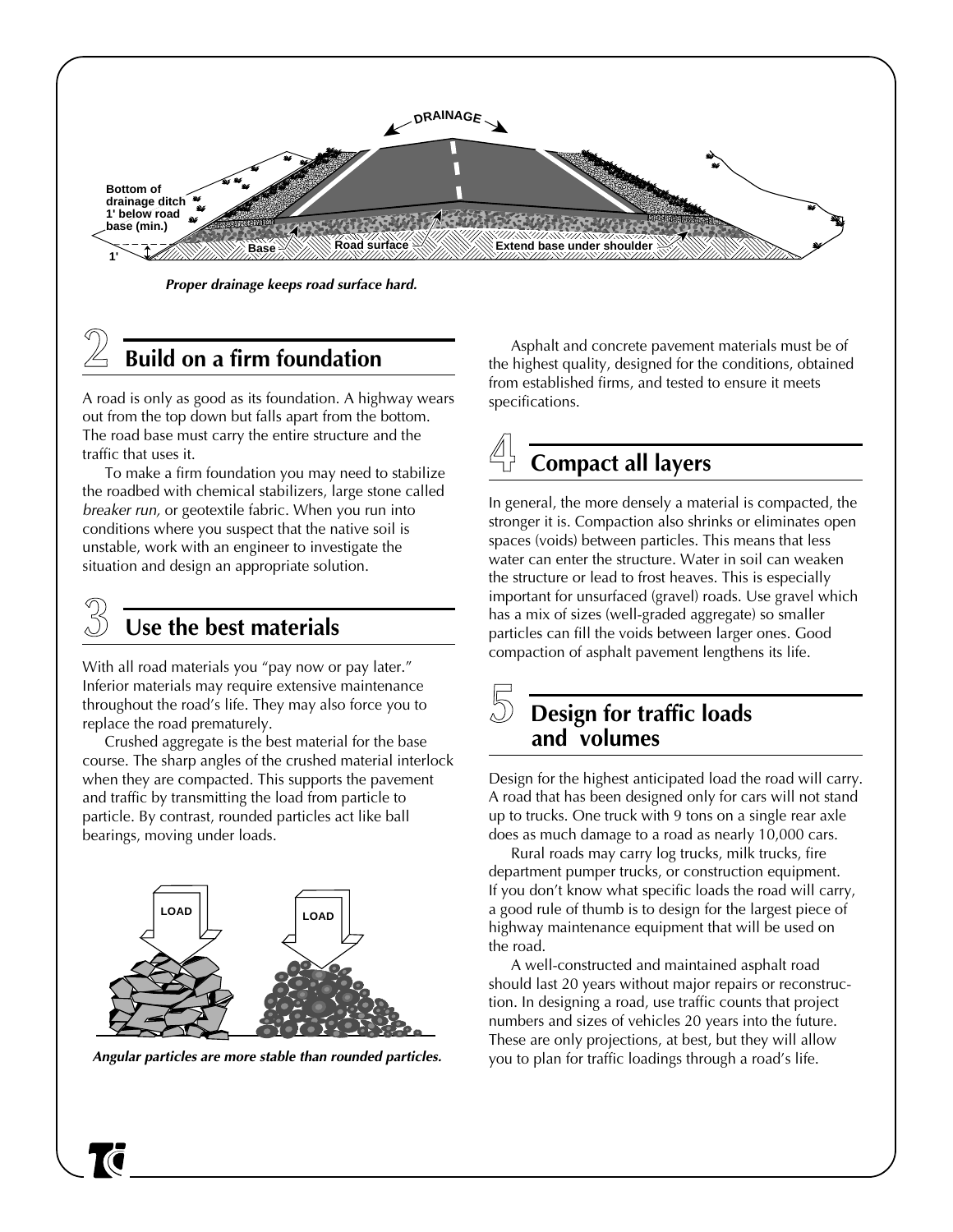

**Proper drainage keeps road surface hard.**

## **2 Build on a firm foundation**

A road is only as good as its foundation. A highway wears out from the top down but falls apart from the bottom. The road base must carry the entire structure and the traffic that uses it.

To make a firm foundation you may need to stabilize the roadbed with chemical stabilizers, large stone called breaker run, or geotextile fabric. When you run into conditions where you suspect that the native soil is unstable, work with an engineer to investigate the situation and design an appropriate solution.

### **3 Use the best materials**

With all road materials you "pay now or pay later." Inferior materials may require extensive maintenance throughout the road's life. They may also force you to replace the road prematurely.

Crushed aggregate is the best material for the base course. The sharp angles of the crushed material interlock when they are compacted. This supports the pavement and traffic by transmitting the load from particle to particle. By contrast, rounded particles act like ball bearings, moving under loads.



**Angular particles are more stable than rounded particles.**

Asphalt and concrete pavement materials must be of the highest quality, designed for the conditions, obtained from established firms, and tested to ensure it meets specifications.

# **4 Compact all layers**

In general, the more densely a material is compacted, the stronger it is. Compaction also shrinks or eliminates open spaces (voids) between particles. This means that less water can enter the structure. Water in soil can weaken the structure or lead to frost heaves. This is especially important for unsurfaced (gravel) roads. Use gravel which has a mix of sizes (well-graded aggregate) so smaller particles can fill the voids between larger ones. Good compaction of asphalt pavement lengthens its life.

#### **5 Design for traffic loads and volumes**

Design for the highest anticipated load the road will carry. A road that has been designed only for cars will not stand up to trucks. One truck with 9 tons on a single rear axle does as much damage to a road as nearly 10,000 cars.

Rural roads may carry log trucks, milk trucks, fire department pumper trucks, or construction equipment. If you don't know what specific loads the road will carry, a good rule of thumb is to design for the largest piece of highway maintenance equipment that will be used on the road.

A well-constructed and maintained asphalt road should last 20 years without major repairs or reconstruction. In designing a road, use traffic counts that project numbers and sizes of vehicles 20 years into the future. These are only projections, at best, but they will allow you to plan for traffic loadings through a road's life.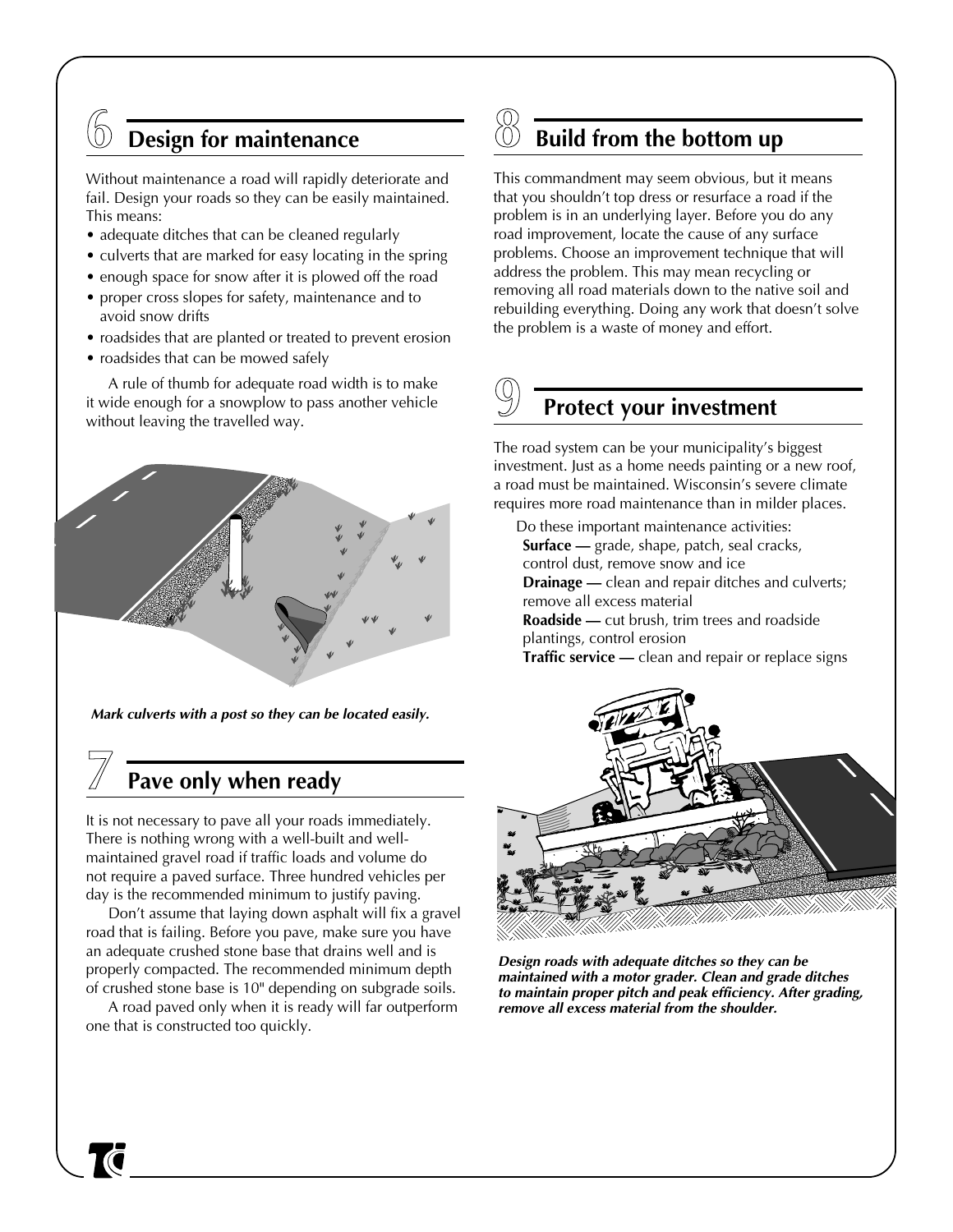## **6 Design for maintenance**

Without maintenance a road will rapidly deteriorate and fail. Design your roads so they can be easily maintained. This means:

- adequate ditches that can be cleaned regularly
- culverts that are marked for easy locating in the spring
- enough space for snow after it is plowed off the road
- proper cross slopes for safety, maintenance and to avoid snow drifts
- roadsides that are planted or treated to prevent erosion
- roadsides that can be mowed safely

A rule of thumb for adequate road width is to make it wide enough for a snowplow to pass another vehicle without leaving the travelled way.



 **Mark culverts with a post so they can be located easily.**

### **7 Pave only when ready**

It is not necessary to pave all your roads immediately. There is nothing wrong with a well-built and wellmaintained gravel road if traffic loads and volume do not require a paved surface. Three hundred vehicles per day is the recommended minimum to justify paving.

Don't assume that laying down asphalt will fix a gravel road that is failing. Before you pave, make sure you have an adequate crushed stone base that drains well and is properly compacted. The recommended minimum depth of crushed stone base is 10" depending on subgrade soils.

A road paved only when it is ready will far outperform one that is constructed too quickly.

## **8 ␣ Build from the bottom up**

This commandment may seem obvious, but it means that you shouldn't top dress or resurface a road if the problem is in an underlying layer. Before you do any road improvement, locate the cause of any surface problems. Choose an improvement technique that will address the problem. This may mean recycling or removing all road materials down to the native soil and rebuilding everything. Doing any work that doesn't solve the problem is a waste of money and effort.

## **Protect your investment**

The road system can be your municipality's biggest investment. Just as a home needs painting or a new roof, a road must be maintained. Wisconsin's severe climate requires more road maintenance than in milder places.

Do these important maintenance activities: **Surface —** grade, shape, patch, seal cracks, control dust, remove snow and ice **Drainage** — clean and repair ditches and culverts; remove all excess material **Roadside —** cut brush, trim trees and roadside plantings, control erosion **Traffic service —** clean and repair or replace signs



**Design roads with adequate ditches so they can be maintained with a motor grader. Clean and grade ditches to maintain proper pitch and peak efficiency. After grading, remove all excess material from the shoulder.**